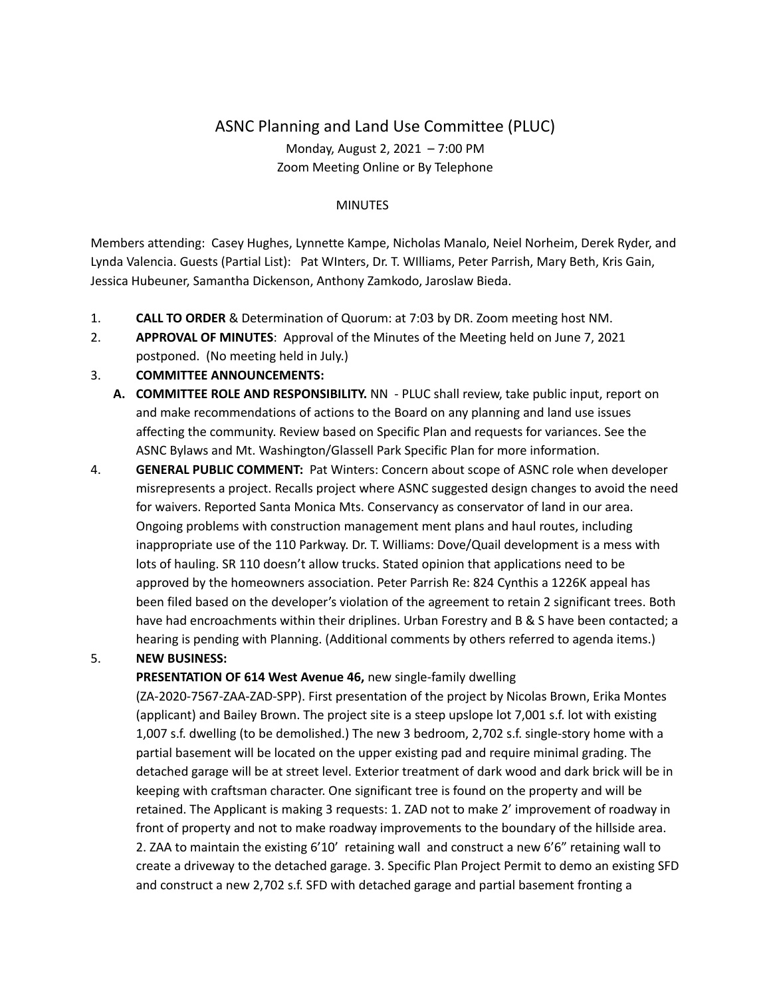# ASNC Planning and Land Use Committee (PLUC) Monday, August 2, 2021 – 7:00 PM Zoom Meeting Online or By Telephone

#### MINUTES

Members attending: Casey Hughes, Lynnette Kampe, Nicholas Manalo, Neiel Norheim, Derek Ryder, and Lynda Valencia. Guests (Partial List): Pat WInters, Dr. T. WIlliams, Peter Parrish, Mary Beth, Kris Gain, Jessica Hubeuner, Samantha Dickenson, Anthony Zamkodo, Jaroslaw Bieda.

- 1. **CALL TO ORDER** & Determination of Quorum: at 7:03 by DR. Zoom meeting host NM.
- 2. **APPROVAL OF MINUTES**: Approval of the Minutes of the Meeting held on June 7, 2021 postponed. (No meeting held in July.)

## 3. **COMMITTEE ANNOUNCEMENTS:**

- **A. COMMITTEE ROLE AND RESPONSIBILITY.** NN PLUC shall review, take public input, report on and make recommendations of actions to the Board on any planning and land use issues affecting the community. Review based on Specific Plan and requests for variances. See the ASNC Bylaws and Mt. Washington/Glassell Park Specific Plan for more information.
- 4. **GENERAL PUBLIC COMMENT:** Pat Winters: Concern about scope of ASNC role when developer misrepresents a project. Recalls project where ASNC suggested design changes to avoid the need for waivers. Reported Santa Monica Mts. Conservancy as conservator of land in our area. Ongoing problems with construction management ment plans and haul routes, including inappropriate use of the 110 Parkway. Dr. T. Williams: Dove/Quail development is a mess with lots of hauling. SR 110 doesn't allow trucks. Stated opinion that applications need to be approved by the homeowners association. Peter Parrish Re: 824 Cynthis a 1226K appeal has been filed based on the developer's violation of the agreement to retain 2 significant trees. Both have had encroachments within their driplines. Urban Forestry and B & S have been contacted; a hearing is pending with Planning. (Additional comments by others referred to agenda items.)

## 5. **NEW BUSINESS:**

## **PRESENTATION OF 614 West Avenue 46,** new single-family dwelling

(ZA-2020-7567-ZAA-ZAD-SPP). First presentation of the project by Nicolas Brown, Erika Montes (applicant) and Bailey Brown. The project site is a steep upslope lot 7,001 s.f. lot with existing 1,007 s.f. dwelling (to be demolished.) The new 3 bedroom, 2,702 s.f. single-story home with a partial basement will be located on the upper existing pad and require minimal grading. The detached garage will be at street level. Exterior treatment of dark wood and dark brick will be in keeping with craftsman character. One significant tree is found on the property and will be retained. The Applicant is making 3 requests: 1. ZAD not to make 2' improvement of roadway in front of property and not to make roadway improvements to the boundary of the hillside area. 2. ZAA to maintain the existing 6'10' retaining wall and construct a new 6'6" retaining wall to create a driveway to the detached garage. 3. Specific Plan Project Permit to demo an existing SFD and construct a new 2,702 s.f. SFD with detached garage and partial basement fronting a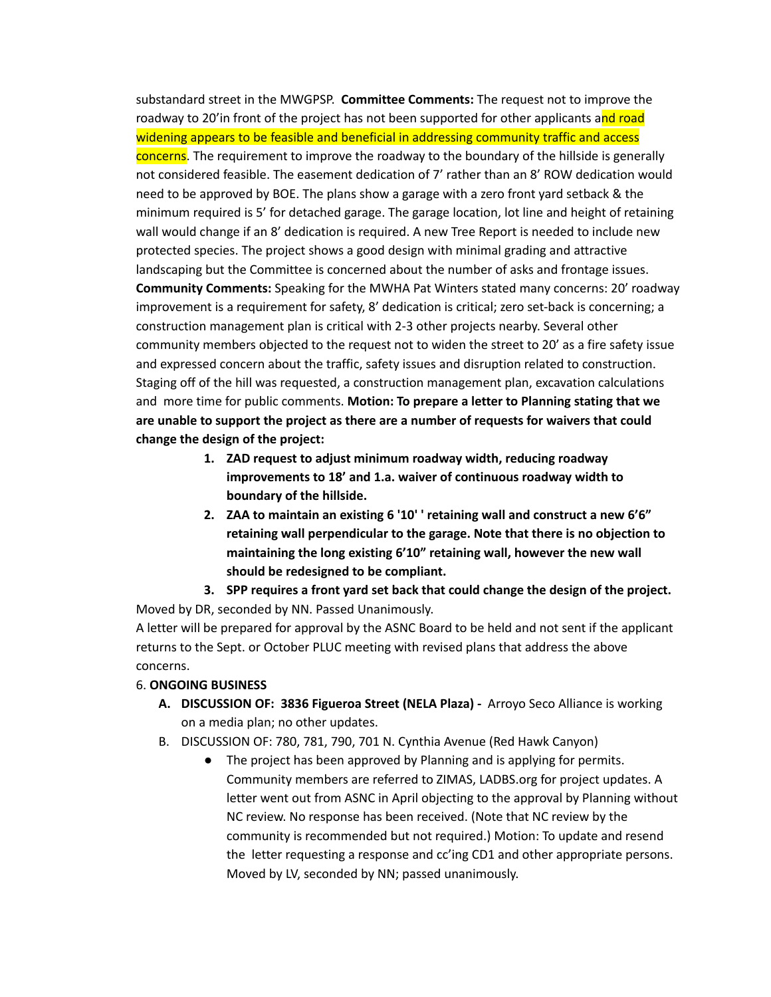substandard street in the MWGPSP. **Committee Comments:** The request not to improve the roadway to 20'in front of the project has not been supported for other applicants and road widening appears to be feasible and beneficial in addressing community traffic and access concerns. The requirement to improve the roadway to the boundary of the hillside is generally not considered feasible. The easement dedication of 7' rather than an 8' ROW dedication would need to be approved by BOE. The plans show a garage with a zero front yard setback & the minimum required is 5' for detached garage. The garage location, lot line and height of retaining wall would change if an 8' dedication is required. A new Tree Report is needed to include new protected species. The project shows a good design with minimal grading and attractive landscaping but the Committee is concerned about the number of asks and frontage issues. **Community Comments:** Speaking for the MWHA Pat Winters stated many concerns: 20' roadway improvement is a requirement for safety, 8' dedication is critical; zero set-back is concerning; a construction management plan is critical with 2-3 other projects nearby. Several other community members objected to the request not to widen the street to 20' as a fire safety issue and expressed concern about the traffic, safety issues and disruption related to construction. Staging off of the hill was requested, a construction management plan, excavation calculations and more time for public comments. **Motion: To prepare a letter to Planning stating that we are unable to support the project as there are a number of requests for waivers that could change the design of the project:**

- **1. ZAD request to adjust minimum roadway width, reducing roadway improvements to 18' and 1.a. waiver of continuous roadway width to boundary of the hillside.**
- **2. ZAA to maintain an existing 6 '10' ' retaining wall and construct a new 6'6" retaining wall perpendicular to the garage. Note that there is no objection to maintaining the long existing 6'10" retaining wall, however the new wall should be redesigned to be compliant.**
- **3. SPP requires a front yard set back that could change the design of the project.**

Moved by DR, seconded by NN. Passed Unanimously. A letter will be prepared for approval by the ASNC Board to be held and not sent if the applicant returns to the Sept. or October PLUC meeting with revised plans that address the above concerns.

## 6. **ONGOING BUSINESS**

- **A. DISCUSSION OF: 3836 Figueroa Street (NELA Plaza) -** Arroyo Seco Alliance is working on a media plan; no other updates.
- B. DISCUSSION OF: 780, 781, 790, 701 N. Cynthia Avenue (Red Hawk Canyon)
	- The project has been approved by Planning and is applying for permits. Community members are referred to ZIMAS, LADBS.org for project updates. A letter went out from ASNC in April objecting to the approval by Planning without NC review. No response has been received. (Note that NC review by the community is recommended but not required.) Motion: To update and resend the letter requesting a response and cc'ing CD1 and other appropriate persons. Moved by LV, seconded by NN; passed unanimously.